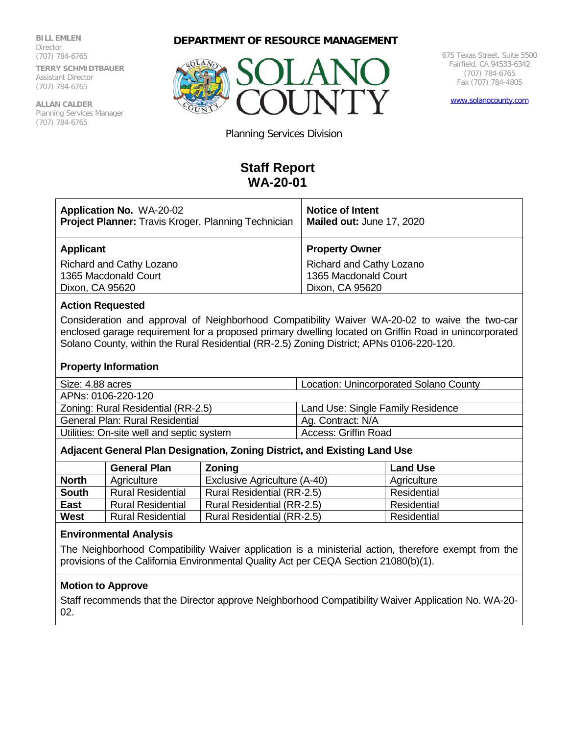#### **BILL EMLEN**

**Director** (707) 784-6765 **TERRY SCHMIDTBAUER** Assistant Director (707) 784-6765

**ALLAN CALDER**  Planning Services Manager (707) 784-6765

## **DEPARTMENT OF RESOURCE MANAGEMENT**



675 Texas Street, Suite 5500 Fairfield, CA 94533-6342 (707) 784-6765 Fax (707) 784-4805

[www.solanocounty.com](http://www.solanocounty.com/)

Planning Services Division

# **Staff Report WA-20-01**

| <b>Application No. WA-20-02</b><br><b>Project Planner:</b> Travis Kroger, Planning Technician | <b>Notice of Intent</b><br>Mailed out: June 17, 2020 |  |
|-----------------------------------------------------------------------------------------------|------------------------------------------------------|--|
| <b>Applicant</b>                                                                              | <b>Property Owner</b>                                |  |
| Richard and Cathy Lozano                                                                      | Richard and Cathy Lozano                             |  |
| 1365 Macdonald Court                                                                          | 1365 Macdonald Court                                 |  |
| Dixon, CA 95620                                                                               | Dixon, CA 95620                                      |  |

#### **Action Requested**

Consideration and approval of Neighborhood Compatibility Waiver WA-20-02 to waive the two-car enclosed garage requirement for a proposed primary dwelling located on Griffin Road in unincorporated Solano County, within the Rural Residential (RR-2.5) Zoning District; APNs 0106-220-120.

#### **Property Information**

| Size: 4.88 acres    | <b>Location: Unincorporated Solano County</b> |
|---------------------|-----------------------------------------------|
| ADNG: 0106.220.120. |                                               |

| Land Use: Single Family Residence |
|-----------------------------------|
| Ag. Contract: N/A                 |
| Access: Griffin Road              |
|                                   |

#### **Adjacent General Plan Designation, Zoning District, and Existing Land Use**

|              | <b>General Plan</b>      | <b>Zoning</b>                | <b>Land Use</b> |
|--------------|--------------------------|------------------------------|-----------------|
| <b>North</b> | Agriculture              | Exclusive Agriculture (A-40) | Agriculture     |
| <b>South</b> | <b>Rural Residential</b> | Rural Residential (RR-2.5)   | Residential     |
| <b>East</b>  | <b>Rural Residential</b> | Rural Residential (RR-2.5)   | Residential     |
| <b>West</b>  | <b>Rural Residential</b> | Rural Residential (RR-2.5)   | Residential     |

#### **Environmental Analysis**

The Neighborhood Compatibility Waiver application is a ministerial action, therefore exempt from the provisions of the California Environmental Quality Act per CEQA Section 21080(b)(1).

#### **Motion to Approve**

Staff recommends that the Director approve Neighborhood Compatibility Waiver Application No. WA-20- 02.